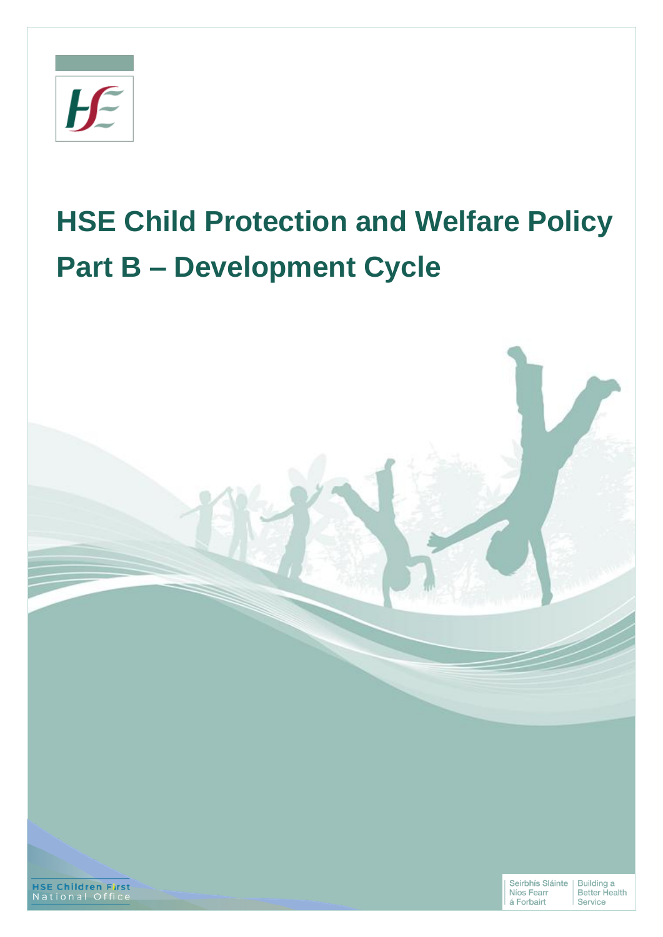

# **HSE Child Protection and Welfare Policy Part B – Development Cycle**

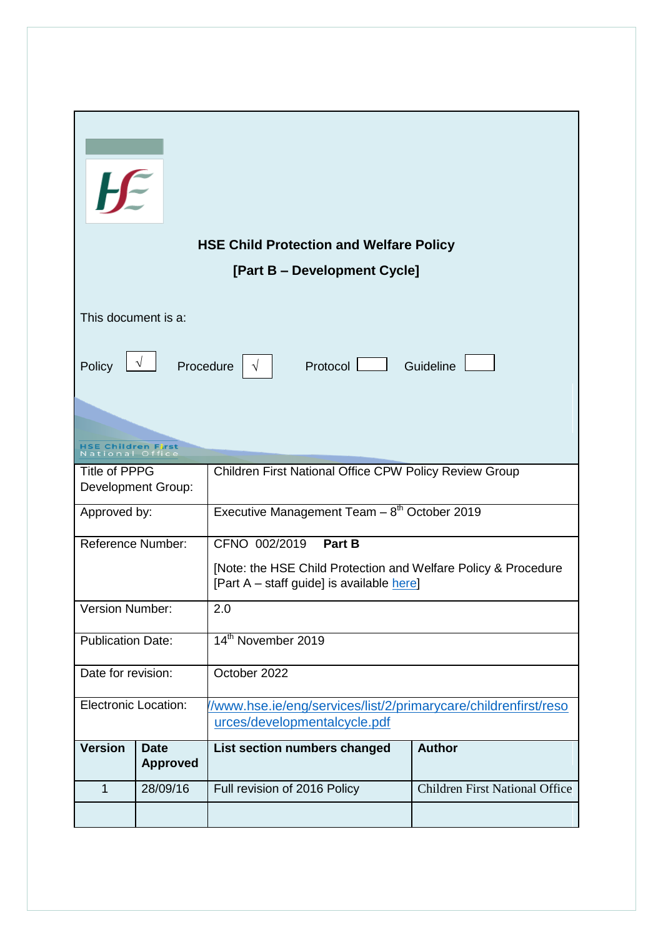| $H^{\varepsilon}$           |                                |                                                                                                             |                                       |  |
|-----------------------------|--------------------------------|-------------------------------------------------------------------------------------------------------------|---------------------------------------|--|
|                             |                                | <b>HSE Child Protection and Welfare Policy</b>                                                              |                                       |  |
|                             |                                | [Part B – Development Cycle]                                                                                |                                       |  |
| This document is a:         |                                |                                                                                                             |                                       |  |
| Policy                      | $\sqrt{ }$<br>Procedure        | Protocol<br>$\sqrt{ }$                                                                                      | Guideline                             |  |
| ional O                     |                                |                                                                                                             |                                       |  |
| <b>Title of PPPG</b>        | <b>Development Group:</b>      | Children First National Office CPW Policy Review Group                                                      |                                       |  |
| Approved by:                |                                | Executive Management Team $-8th$ October 2019                                                               |                                       |  |
| <b>Reference Number:</b>    |                                | CFNO 002/2019<br>Part B                                                                                     |                                       |  |
|                             |                                | [Note: the HSE Child Protection and Welfare Policy & Procedure<br>[Part A – staff guide] is available here] |                                       |  |
| Version Number:             |                                | 2.0                                                                                                         |                                       |  |
| <b>Publication Date:</b>    |                                | 14th November 2019                                                                                          |                                       |  |
| Date for revision:          |                                | October 2022                                                                                                |                                       |  |
| <b>Electronic Location:</b> |                                | /www.hse.ie/eng/services/list/2/primarycare/childrenfirst/reso                                              |                                       |  |
|                             |                                | urces/developmentalcycle.pdf                                                                                |                                       |  |
| <b>Version</b>              | <b>Date</b><br><b>Approved</b> | List section numbers changed                                                                                | <b>Author</b>                         |  |
| $\mathbf{1}$                | 28/09/16                       | Full revision of 2016 Policy                                                                                | <b>Children First National Office</b> |  |
|                             |                                |                                                                                                             |                                       |  |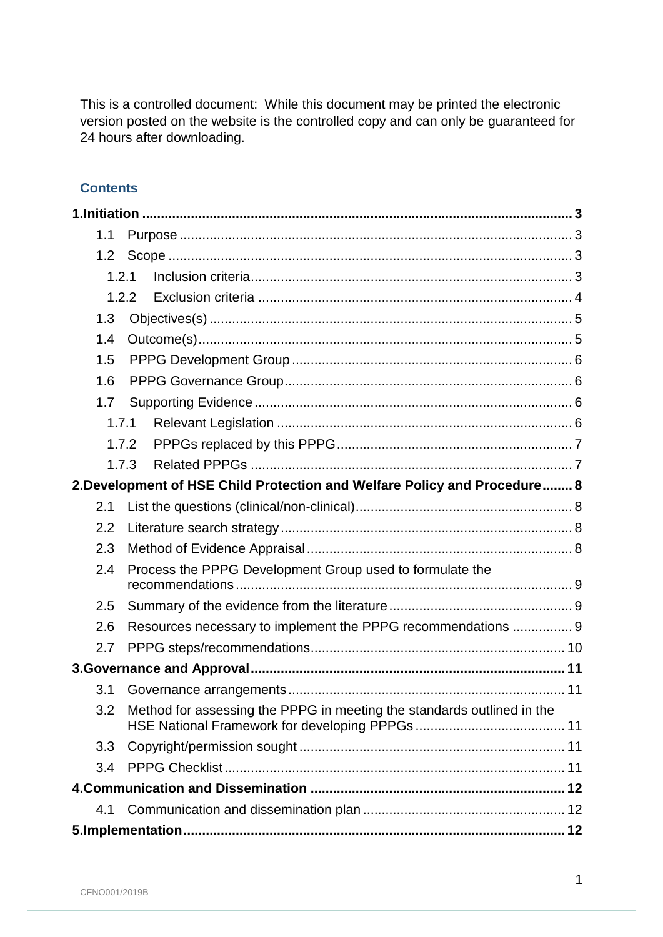This is a controlled document: While this document may be printed the electronic version posted on the website is the controlled copy and can only be guaranteed for 24 hours after downloading.

## **Contents**

| 1.1 |       |                                                                           |  |
|-----|-------|---------------------------------------------------------------------------|--|
| 1.2 |       |                                                                           |  |
|     | 1.2.1 |                                                                           |  |
|     | 1.2.2 |                                                                           |  |
| 1.3 |       |                                                                           |  |
| 1.4 |       |                                                                           |  |
| 1.5 |       |                                                                           |  |
| 1.6 |       |                                                                           |  |
| 1.7 |       |                                                                           |  |
|     | 1.7.1 |                                                                           |  |
|     | 1.7.2 |                                                                           |  |
|     | 1.7.3 |                                                                           |  |
|     |       | 2. Development of HSE Child Protection and Welfare Policy and Procedure 8 |  |
| 2.1 |       |                                                                           |  |
| 2.2 |       |                                                                           |  |
| 2.3 |       |                                                                           |  |
| 2.4 |       | Process the PPPG Development Group used to formulate the                  |  |
| 2.5 |       |                                                                           |  |
| 2.6 |       | Resources necessary to implement the PPPG recommendations  9              |  |
| 2.7 |       |                                                                           |  |
|     |       |                                                                           |  |
| 3.1 |       |                                                                           |  |
| 3.2 |       | Method for assessing the PPPG in meeting the standards outlined in the    |  |
| 3.3 |       |                                                                           |  |
| 3.4 |       |                                                                           |  |
|     |       |                                                                           |  |
| 4.1 |       |                                                                           |  |
|     |       |                                                                           |  |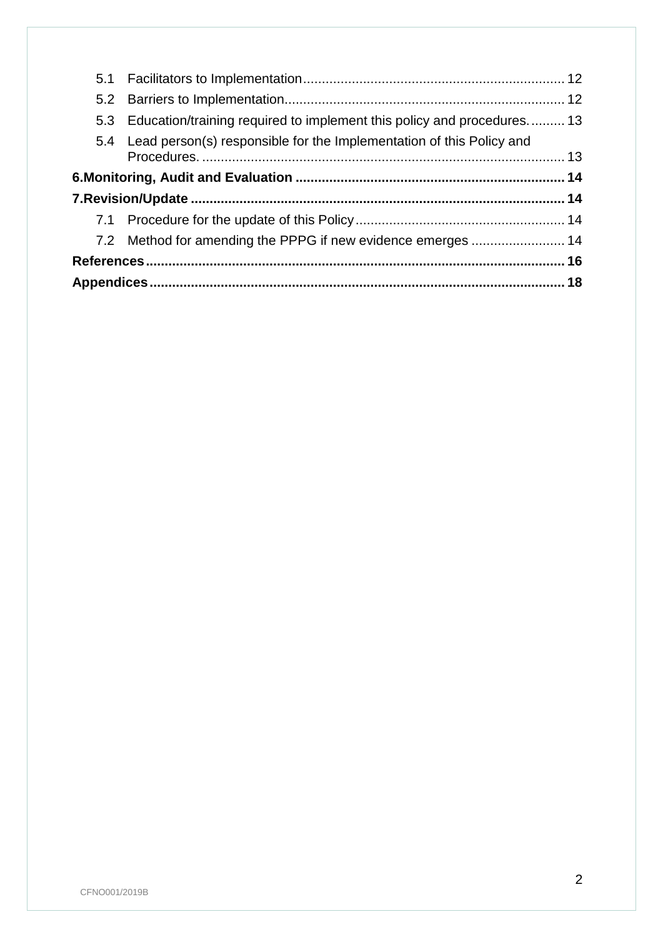| 5.3 Education/training required to implement this policy and procedures 13 |  |
|----------------------------------------------------------------------------|--|
| 5.4 Lead person(s) responsible for the Implementation of this Policy and   |  |
|                                                                            |  |
|                                                                            |  |
|                                                                            |  |
| 7.2 Method for amending the PPPG if new evidence emerges  14               |  |
|                                                                            |  |
|                                                                            |  |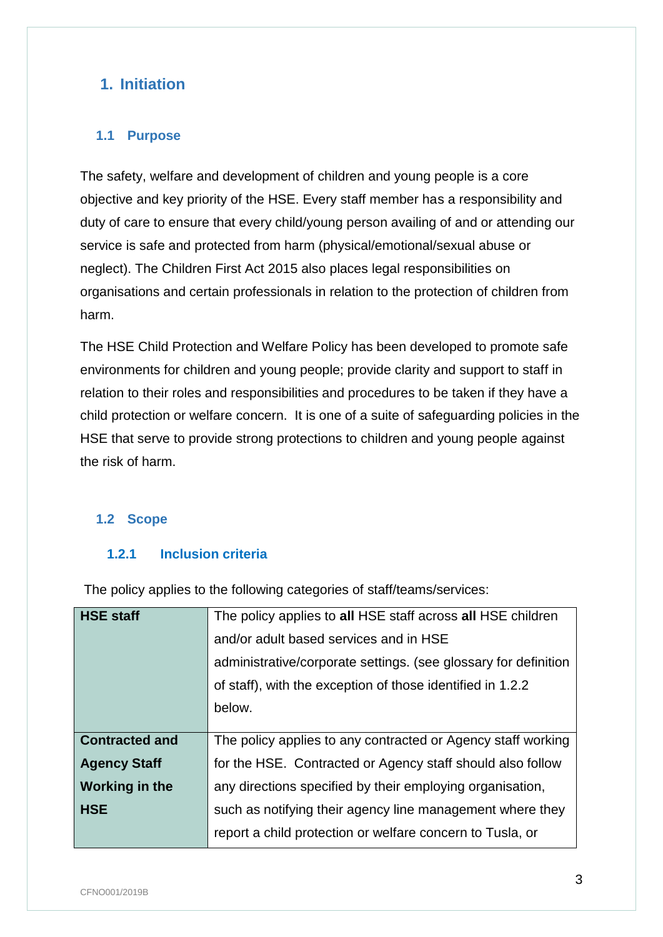## <span id="page-4-0"></span>**1. Initiation**

## <span id="page-4-1"></span>**1.1 Purpose**

The safety, welfare and development of children and young people is a core objective and key priority of the HSE. Every staff member has a responsibility and duty of care to ensure that every child/young person availing of and or attending our service is safe and protected from harm (physical/emotional/sexual abuse or neglect). The Children First Act 2015 also places legal responsibilities on organisations and certain professionals in relation to the protection of children from harm.

The HSE Child Protection and Welfare Policy has been developed to promote safe environments for children and young people; provide clarity and support to staff in relation to their roles and responsibilities and procedures to be taken if they have a child protection or welfare concern. It is one of a suite of safeguarding policies in the HSE that serve to provide strong protections to children and young people against the risk of harm.

## <span id="page-4-2"></span>**1.2 Scope**

## <span id="page-4-3"></span>**1.2.1 Inclusion criteria**

The policy applies to the following categories of staff/teams/services:

| <b>HSE staff</b>      | The policy applies to all HSE staff across all HSE children     |
|-----------------------|-----------------------------------------------------------------|
|                       | and/or adult based services and in HSE                          |
|                       | administrative/corporate settings. (see glossary for definition |
|                       | of staff), with the exception of those identified in 1.2.2      |
|                       | below.                                                          |
|                       |                                                                 |
| <b>Contracted and</b> | The policy applies to any contracted or Agency staff working    |
| <b>Agency Staff</b>   | for the HSE. Contracted or Agency staff should also follow      |
| Working in the        | any directions specified by their employing organisation,       |
| <b>HSE</b>            | such as notifying their agency line management where they       |
|                       | report a child protection or welfare concern to Tusla, or       |
|                       |                                                                 |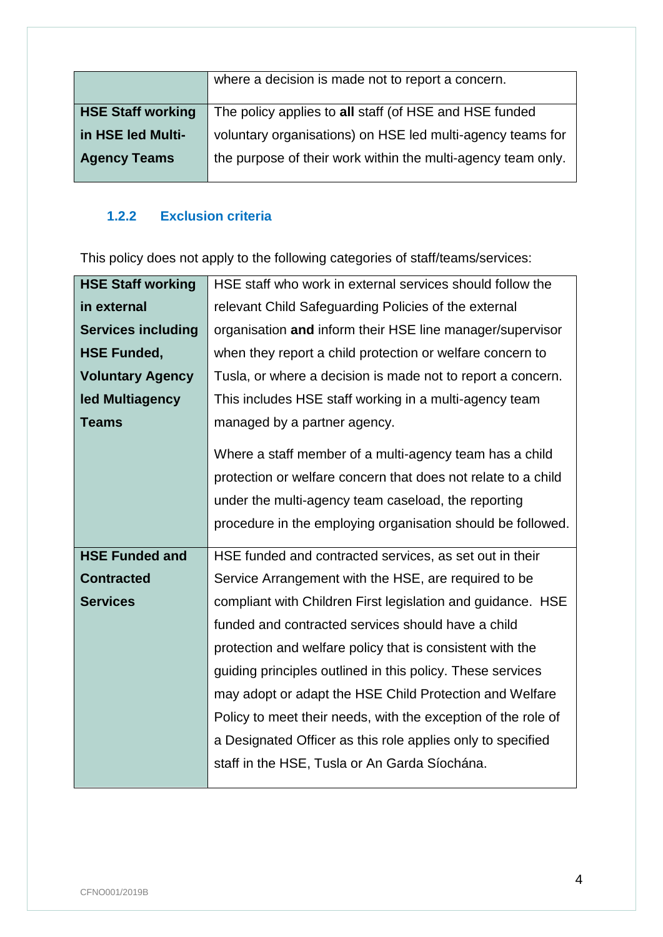|                          | where a decision is made not to report a concern.            |
|--------------------------|--------------------------------------------------------------|
| <b>HSE Staff working</b> | The policy applies to all staff (of HSE and HSE funded       |
| in HSE led Multi-        | voluntary organisations) on HSE led multi-agency teams for   |
| <b>Agency Teams</b>      | the purpose of their work within the multi-agency team only. |
|                          |                                                              |

## <span id="page-5-0"></span>**1.2.2 Exclusion criteria**

This policy does not apply to the following categories of staff/teams/services:

| <b>HSE Staff working</b>  | HSE staff who work in external services should follow the     |
|---------------------------|---------------------------------------------------------------|
| in external               | relevant Child Safeguarding Policies of the external          |
| <b>Services including</b> | organisation and inform their HSE line manager/supervisor     |
| <b>HSE Funded,</b>        | when they report a child protection or welfare concern to     |
| <b>Voluntary Agency</b>   | Tusla, or where a decision is made not to report a concern.   |
| led Multiagency           | This includes HSE staff working in a multi-agency team        |
| <b>Teams</b>              | managed by a partner agency.                                  |
|                           | Where a staff member of a multi-agency team has a child       |
|                           | protection or welfare concern that does not relate to a child |
|                           | under the multi-agency team caseload, the reporting           |
|                           | procedure in the employing organisation should be followed.   |
|                           |                                                               |
| <b>HSE Funded and</b>     | HSE funded and contracted services, as set out in their       |
| <b>Contracted</b>         | Service Arrangement with the HSE, are required to be          |
| <b>Services</b>           | compliant with Children First legislation and guidance. HSE   |
|                           | funded and contracted services should have a child            |
|                           | protection and welfare policy that is consistent with the     |
|                           | guiding principles outlined in this policy. These services    |
|                           | may adopt or adapt the HSE Child Protection and Welfare       |
|                           | Policy to meet their needs, with the exception of the role of |
|                           | a Designated Officer as this role applies only to specified   |
|                           | staff in the HSE, Tusla or An Garda Síochána.                 |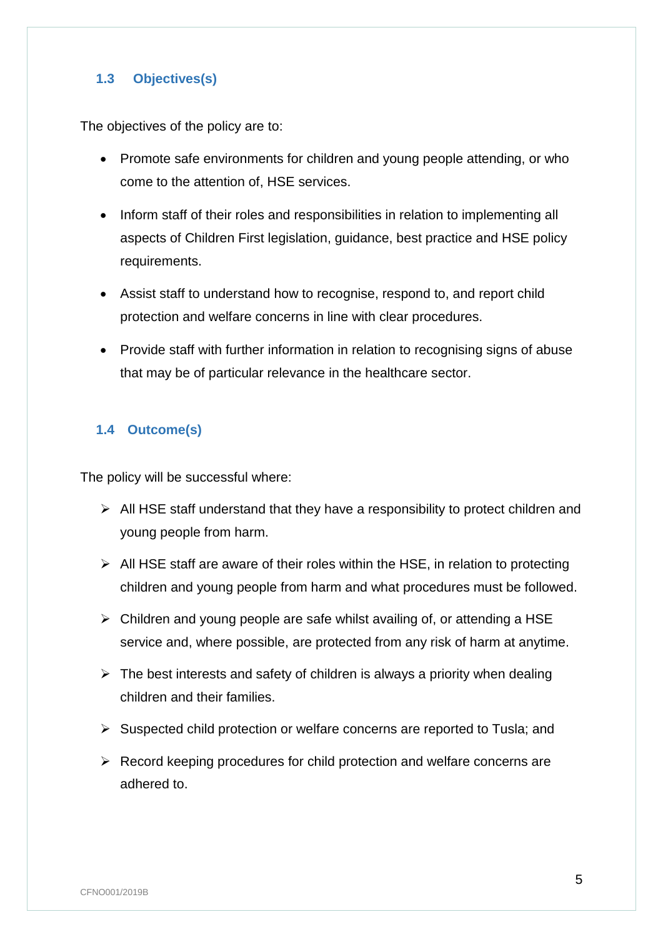## <span id="page-6-0"></span>**1.3 Objectives(s)**

The objectives of the policy are to:

- Promote safe environments for children and young people attending, or who come to the attention of, HSE services.
- Inform staff of their roles and responsibilities in relation to implementing all aspects of Children First legislation, guidance, best practice and HSE policy requirements.
- Assist staff to understand how to recognise, respond to, and report child protection and welfare concerns in line with clear procedures.
- Provide staff with further information in relation to recognising signs of abuse that may be of particular relevance in the healthcare sector.

## <span id="page-6-1"></span>**1.4 Outcome(s)**

The policy will be successful where:

- $\triangleright$  All HSE staff understand that they have a responsibility to protect children and young people from harm.
- $\triangleright$  All HSE staff are aware of their roles within the HSE, in relation to protecting children and young people from harm and what procedures must be followed.
- $\triangleright$  Children and young people are safe whilst availing of, or attending a HSE service and, where possible, are protected from any risk of harm at anytime.
- $\triangleright$  The best interests and safety of children is always a priority when dealing children and their families.
- $\triangleright$  Suspected child protection or welfare concerns are reported to Tusla; and
- $\triangleright$  Record keeping procedures for child protection and welfare concerns are adhered to.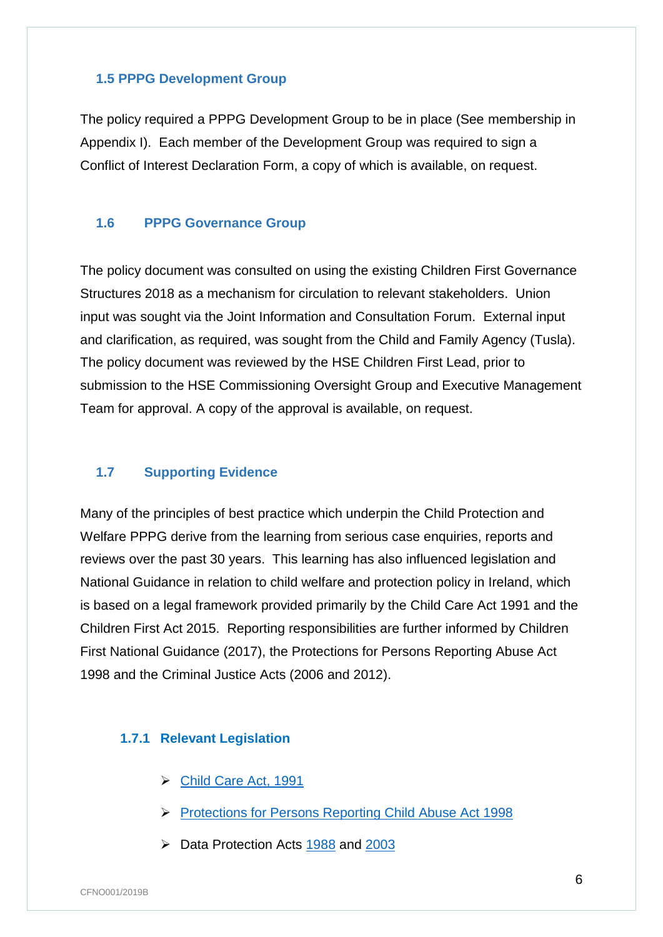#### <span id="page-7-0"></span>**1.5 PPPG Development Group**

The policy required a PPPG Development Group to be in place (See membership in Appendix I). Each member of the Development Group was required to sign a Conflict of Interest Declaration Form, a copy of which is available, on request.

#### <span id="page-7-1"></span>**1.6 PPPG Governance Group**

The policy document was consulted on using the existing Children First Governance Structures 2018 as a mechanism for circulation to relevant stakeholders. Union input was sought via the Joint Information and Consultation Forum. External input and clarification, as required, was sought from the Child and Family Agency (Tusla). The policy document was reviewed by the HSE Children First Lead, prior to submission to the HSE Commissioning Oversight Group and Executive Management Team for approval. A copy of the approval is available, on request.

#### <span id="page-7-2"></span>**1.7 Supporting Evidence**

Many of the principles of best practice which underpin the Child Protection and Welfare PPPG derive from the learning from serious case enquiries, reports and reviews over the past 30 years. This learning has also influenced legislation and National Guidance in relation to child welfare and protection policy in Ireland, which is based on a legal framework provided primarily by the Child Care Act 1991 and the Children First Act 2015. Reporting responsibilities are further informed by Children First National Guidance (2017), the Protections for Persons Reporting Abuse Act 1998 and the Criminal Justice Acts (2006 and 2012).

## <span id="page-7-3"></span>**1.7.1 Relevant Legislation**

- [Child Care Act, 1991](http://www.irishstatutebook.ie/eli/1991/act/17/enacted/en/html?q=Child+Care+Act&years=1991)
- ▶ [Protections for Persons Reporting Child Abuse Act 1998](http://www.irishstatutebook.ie/eli/1998/act/49/enacted/en/html)
- $\triangleright$  Data Protection Acts [1988](http://www.irishstatutebook.ie/eli/1988/act/25/enacted/en/html) and [2003](http://www.irishstatutebook.ie/eli/2003/act/6/enacted/en/html)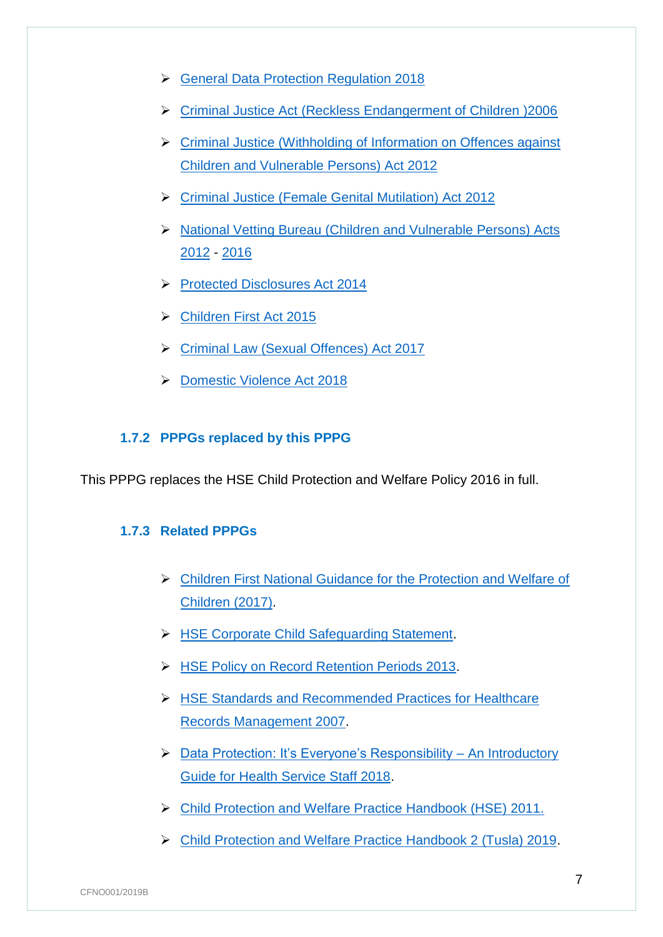- [General Data Protection Regulation 2018](https://eur-lex.europa.eu/legal-content/EN/TXT/?uri=CELEX:02016R0679-20160504)
- [Criminal Justice Act \(Reckless Endangerment of Children \)2006](http://www.irishstatutebook.ie/eli/2006/act/26/enacted/en/print)
- [Criminal Justice \(Withholding of Information on Offences against](http://www.irishstatutebook.ie/eli/2012/act/24/enacted/en/html)  [Children and Vulnerable Persons\) Act 2012](http://www.irishstatutebook.ie/eli/2012/act/24/enacted/en/html)
- [Criminal Justice \(Female Genital Mutilation\) Act 2012](http://www.irishstatutebook.ie/eli/2012/act/11/section/2/enacted/en/html)
- ▶ National Vetting Bureau (Children and Vulnerable Persons) Acts [2012](http://www.irishstatutebook.ie/eli/2012/act/47/enacted/en/html) - [2016](http://www.irishstatutebook.ie/eli/2016/si/214/made/en/print)
- [Protected Disclosures Act 2014](http://www.irishstatutebook.ie/eli/2014/act/14/enacted/en/html)
- [Children First Act 2015](http://www.irishstatutebook.ie/eli/2015/act/36/enacted/en/html)
- [Criminal Law \(Sexual Offences\) Act 2017](http://www.irishstatutebook.ie/eli/2017/act/2/enacted/en/html)
- ▶ [Domestic Violence Act 2018](http://www.irishstatutebook.ie/eli/2018/act/6/enacted/en/html)

## <span id="page-8-0"></span>**1.7.2 PPPGs replaced by this PPPG**

This PPPG replaces the HSE Child Protection and Welfare Policy 2016 in full.

#### <span id="page-8-1"></span>**1.7.3 Related PPPGs**

- [Children First National Guidance for the Protection and Welfare of](https://www.hse.ie/eng/services/list/2/primarycare/childrenfirst/children-first-national-guidance.html)  [Children \(2017\).](https://www.hse.ie/eng/services/list/2/primarycare/childrenfirst/children-first-national-guidance.html)
- **EXECOPED AT A SET CORPORED CHILD STATE CORPORATION**
- **EXECTE Policy on Record Retention Periods 2013.**
- [HSE Standards and Recommended Practices for Healthcare](http://www.hse.ie/eng/about/Who/qualityandpatientsafety/safepatientcare/healthrecordsmgt/Healthcare_Records_Management.html)  [Records Management 2007.](http://www.hse.ie/eng/about/Who/qualityandpatientsafety/safepatientcare/healthrecordsmgt/Healthcare_Records_Management.html)
- ▶ [Data Protection: It's Everyone's Responsibility –](https://www.hse.ie/eng/services/yourhealthservice/info/dp/dpstaffguide.pdf) An Introductory [Guide for Health Service Staff 2018.](https://www.hse.ie/eng/services/yourhealthservice/info/dp/dpstaffguide.pdf)
- [Child Protection and Welfare Practice Handbook \(HSE\) 2011.](https://www.tusla.ie/uploads/content/CF_WelfarePracticehandbook.pdf)
- [Child Protection and Welfare Practice Handbook 2 \(Tusla\) 2019.](https://www.tusla.ie/uploads/content/CF_WelfarePracticehandbook.pdf)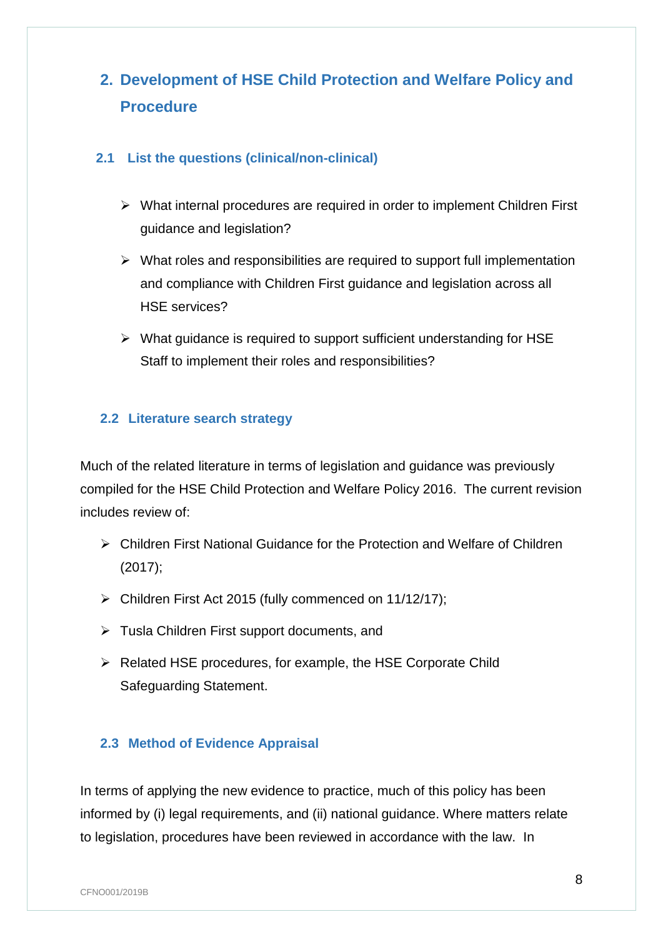## <span id="page-9-0"></span>**2. Development of HSE Child Protection and Welfare Policy and Procedure**

## <span id="page-9-1"></span>**2.1 List the questions (clinical/non-clinical)**

- $\triangleright$  What internal procedures are required in order to implement Children First guidance and legislation?
- $\triangleright$  What roles and responsibilities are required to support full implementation and compliance with Children First guidance and legislation across all HSE services?
- $\triangleright$  What guidance is required to support sufficient understanding for HSE Staff to implement their roles and responsibilities?

## <span id="page-9-2"></span>**2.2 Literature search strategy**

Much of the related literature in terms of legislation and guidance was previously compiled for the HSE Child Protection and Welfare Policy 2016. The current revision includes review of:

- Children First National Guidance for the Protection and Welfare of Children (2017);
- Children First Act 2015 (fully commenced on 11/12/17);
- > Tusla Children First support documents, and
- $\triangleright$  Related HSE procedures, for example, the HSE Corporate Child Safeguarding Statement.

## <span id="page-9-3"></span>**2.3 Method of Evidence Appraisal**

In terms of applying the new evidence to practice, much of this policy has been informed by (i) legal requirements, and (ii) national guidance. Where matters relate to legislation, procedures have been reviewed in accordance with the law. In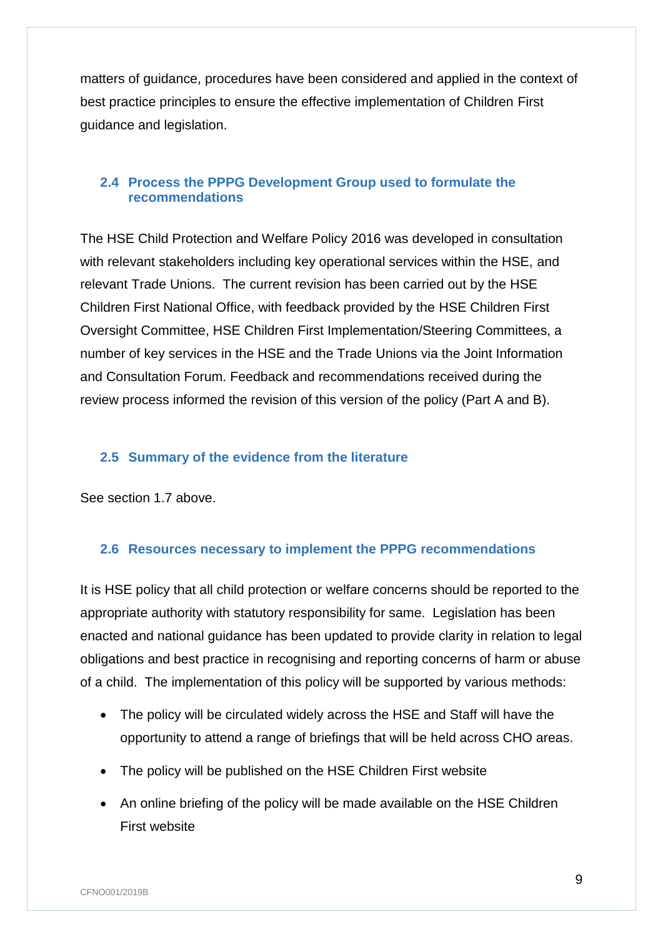matters of guidance, procedures have been considered and applied in the context of best practice principles to ensure the effective implementation of Children First guidance and legislation.

## <span id="page-10-0"></span>**2.4 Process the PPPG Development Group used to formulate the recommendations**

The HSE Child Protection and Welfare Policy 2016 was developed in consultation with relevant stakeholders including key operational services within the HSE, and relevant Trade Unions. The current revision has been carried out by the HSE Children First National Office, with feedback provided by the HSE Children First Oversight Committee, HSE Children First Implementation/Steering Committees, a number of key services in the HSE and the Trade Unions via the Joint Information and Consultation Forum. Feedback and recommendations received during the review process informed the revision of this version of the policy (Part A and B).

## <span id="page-10-1"></span>**2.5 Summary of the evidence from the literature**

See section 1.7 above.

## <span id="page-10-2"></span>**2.6 Resources necessary to implement the PPPG recommendations**

It is HSE policy that all child protection or welfare concerns should be reported to the appropriate authority with statutory responsibility for same. Legislation has been enacted and national guidance has been updated to provide clarity in relation to legal obligations and best practice in recognising and reporting concerns of harm or abuse of a child. The implementation of this policy will be supported by various methods:

- The policy will be circulated widely across the HSE and Staff will have the opportunity to attend a range of briefings that will be held across CHO areas.
- The policy will be published on the HSE Children First website
- An online briefing of the policy will be made available on the HSE Children First website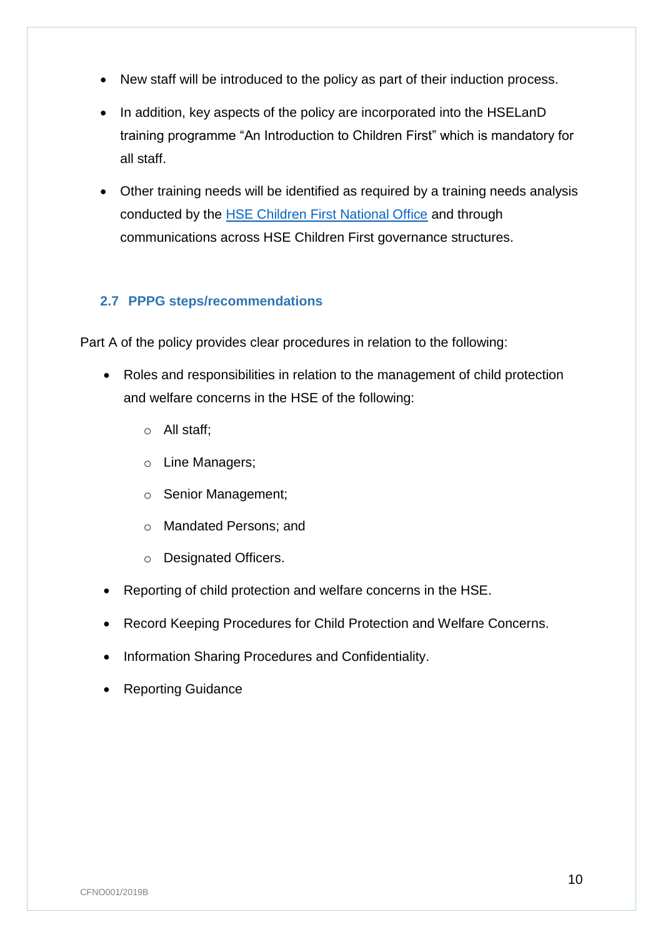- New staff will be introduced to the policy as part of their induction process.
- In addition, key aspects of the policy are incorporated into the HSELanD training programme "An Introduction to Children First" which is mandatory for all staff.
- Other training needs will be identified as required by a training needs analysis conducted by the [HSE Children First National Office](https://www.hse.ie/eng/services/list/2/primarycare/childrenfirst/contactus/contactus.html) and through communications across HSE Children First governance structures.

## <span id="page-11-0"></span>**2.7 PPPG steps/recommendations**

Part A of the policy provides clear procedures in relation to the following:

- Roles and responsibilities in relation to the management of child protection and welfare concerns in the HSE of the following:
	- o All staff;
	- o Line Managers;
	- o Senior Management;
	- o Mandated Persons; and
	- o Designated Officers.
- Reporting of child protection and welfare concerns in the HSE.
- Record Keeping Procedures for Child Protection and Welfare Concerns.
- Information Sharing Procedures and Confidentiality.
- Reporting Guidance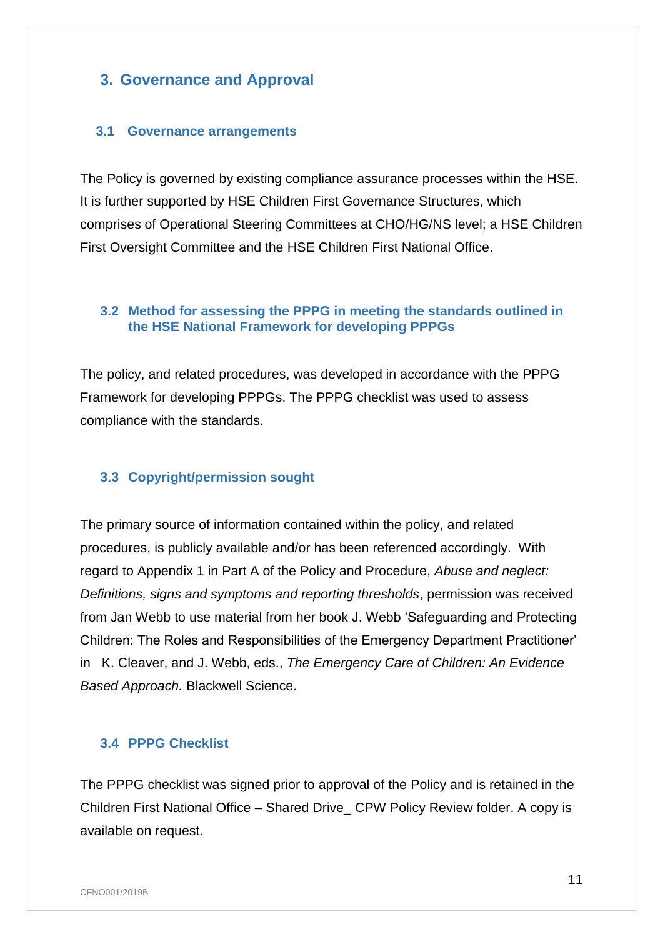## <span id="page-12-0"></span>**3. Governance and Approval**

#### <span id="page-12-1"></span>**3.1 Governance arrangements**

The Policy is governed by existing compliance assurance processes within the HSE. It is further supported by HSE Children First Governance Structures, which comprises of Operational Steering Committees at CHO/HG/NS level; a HSE Children First Oversight Committee and the HSE Children First National Office.

## <span id="page-12-2"></span>**3.2 Method for assessing the PPPG in meeting the standards outlined in the HSE National Framework for developing PPPGs**

The policy, and related procedures, was developed in accordance with the PPPG Framework for developing PPPGs. The PPPG checklist was used to assess compliance with the standards.

## <span id="page-12-3"></span>**3.3 Copyright/permission sought**

The primary source of information contained within the policy, and related procedures, is publicly available and/or has been referenced accordingly. With regard to Appendix 1 in Part A of the Policy and Procedure, *Abuse and neglect: Definitions, signs and symptoms and reporting thresholds*, permission was received from Jan Webb to use material from her book J. Webb 'Safeguarding and Protecting Children: The Roles and Responsibilities of the Emergency Department Practitioner' in K. Cleaver, and J. Webb, eds., *The Emergency Care of Children: An Evidence Based Approach.* Blackwell Science.

#### <span id="page-12-4"></span>**3.4 PPPG Checklist**

The PPPG checklist was signed prior to approval of the Policy and is retained in the Children First National Office – Shared Drive\_ CPW Policy Review folder. A copy is available on request.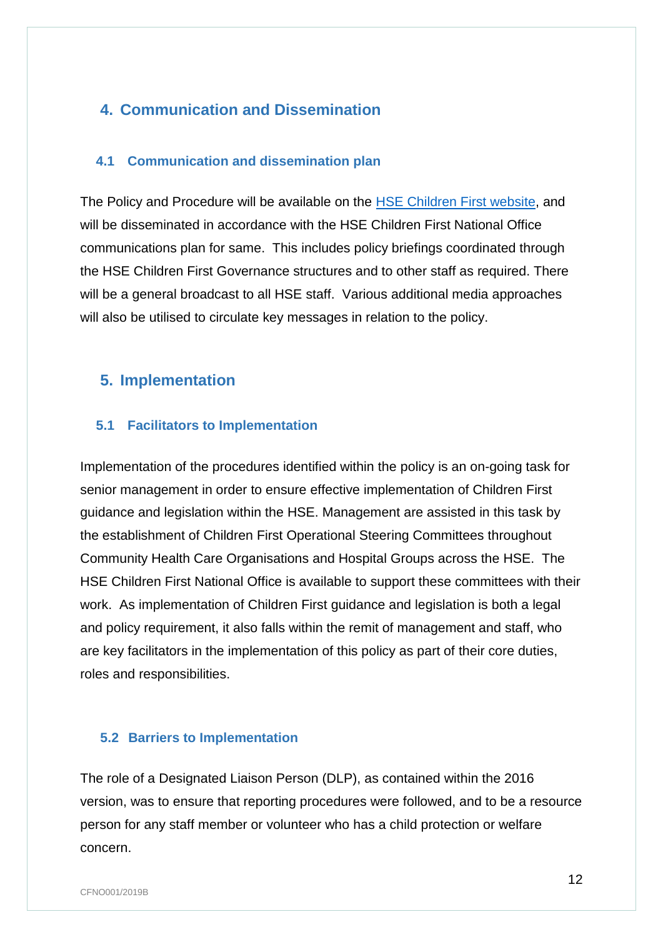## <span id="page-13-0"></span>**4. Communication and Dissemination**

#### <span id="page-13-1"></span>**4.1 Communication and dissemination plan**

The Policy and Procedure will be available on the [HSE Children First website,](http://www.hse.ie/childrenfirst) and will be disseminated in accordance with the HSE Children First National Office communications plan for same. This includes policy briefings coordinated through the HSE Children First Governance structures and to other staff as required. There will be a general broadcast to all HSE staff. Various additional media approaches will also be utilised to circulate key messages in relation to the policy.

## <span id="page-13-2"></span>**5. Implementation**

#### <span id="page-13-3"></span>**5.1 Facilitators to Implementation**

Implementation of the procedures identified within the policy is an on-going task for senior management in order to ensure effective implementation of Children First guidance and legislation within the HSE. Management are assisted in this task by the establishment of Children First Operational Steering Committees throughout Community Health Care Organisations and Hospital Groups across the HSE. The HSE Children First National Office is available to support these committees with their work. As implementation of Children First guidance and legislation is both a legal and policy requirement, it also falls within the remit of management and staff, who are key facilitators in the implementation of this policy as part of their core duties, roles and responsibilities.

## <span id="page-13-4"></span>**5.2 Barriers to Implementation**

The role of a Designated Liaison Person (DLP), as contained within the 2016 version, was to ensure that reporting procedures were followed, and to be a resource person for any staff member or volunteer who has a child protection or welfare concern.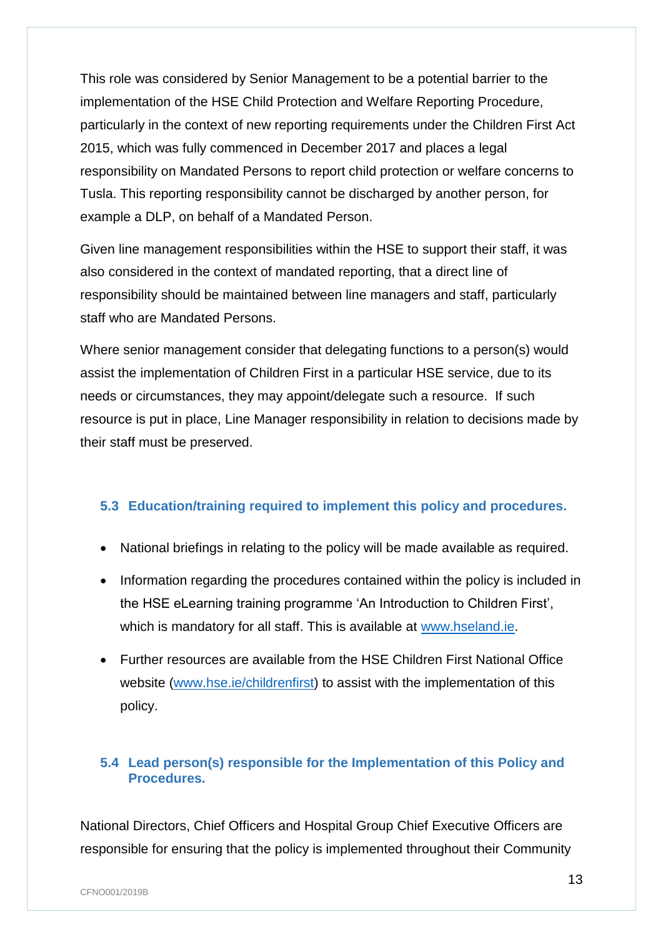This role was considered by Senior Management to be a potential barrier to the implementation of the HSE Child Protection and Welfare Reporting Procedure, particularly in the context of new reporting requirements under the Children First Act 2015, which was fully commenced in December 2017 and places a legal responsibility on Mandated Persons to report child protection or welfare concerns to Tusla. This reporting responsibility cannot be discharged by another person, for example a DLP, on behalf of a Mandated Person.

Given line management responsibilities within the HSE to support their staff, it was also considered in the context of mandated reporting, that a direct line of responsibility should be maintained between line managers and staff, particularly staff who are Mandated Persons.

Where senior management consider that delegating functions to a person(s) would assist the implementation of Children First in a particular HSE service, due to its needs or circumstances, they may appoint/delegate such a resource. If such resource is put in place, Line Manager responsibility in relation to decisions made by their staff must be preserved.

## <span id="page-14-0"></span>**5.3 Education/training required to implement this policy and procedures.**

- National briefings in relating to the policy will be made available as required.
- Information regarding the procedures contained within the policy is included in the HSE eLearning training programme 'An Introduction to Children First', which is mandatory for all staff. This is available at [www.hseland.ie.](http://www.hseland.ie/)
- Further resources are available from the HSE Children First National Office website [\(www.hse.ie/childrenfirst\)](http://www.hse.ie/childrenfirst) to assist with the implementation of this policy.

## <span id="page-14-1"></span>**5.4 Lead person(s) responsible for the Implementation of this Policy and Procedures.**

National Directors, Chief Officers and Hospital Group Chief Executive Officers are responsible for ensuring that the policy is implemented throughout their Community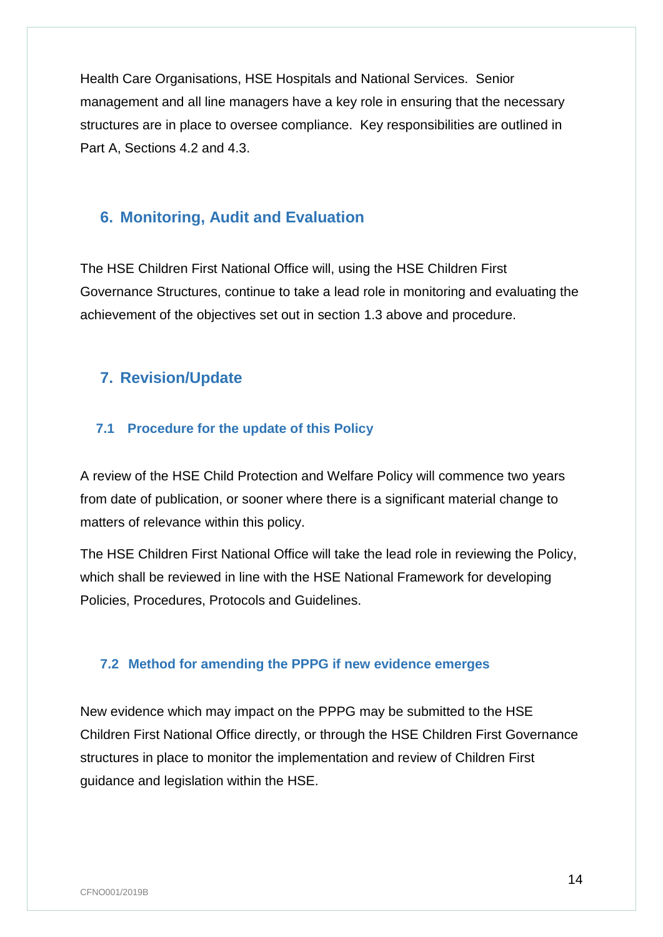Health Care Organisations, HSE Hospitals and National Services. Senior management and all line managers have a key role in ensuring that the necessary structures are in place to oversee compliance. Key responsibilities are outlined in Part A, Sections 4.2 and 4.3.

## <span id="page-15-0"></span>**6. Monitoring, Audit and Evaluation**

The HSE Children First National Office will, using the HSE Children First Governance Structures, continue to take a lead role in monitoring and evaluating the achievement of the objectives set out in section 1.3 above and procedure.

## <span id="page-15-1"></span>**7. Revision/Update**

## <span id="page-15-2"></span>**7.1 Procedure for the update of this Policy**

A review of the HSE Child Protection and Welfare Policy will commence two years from date of publication, or sooner where there is a significant material change to matters of relevance within this policy.

The HSE Children First National Office will take the lead role in reviewing the Policy, which shall be reviewed in line with the HSE National Framework for developing Policies, Procedures, Protocols and Guidelines.

## <span id="page-15-3"></span>**7.2 Method for amending the PPPG if new evidence emerges**

New evidence which may impact on the PPPG may be submitted to the HSE Children First National Office directly, or through the HSE Children First Governance structures in place to monitor the implementation and review of Children First guidance and legislation within the HSE.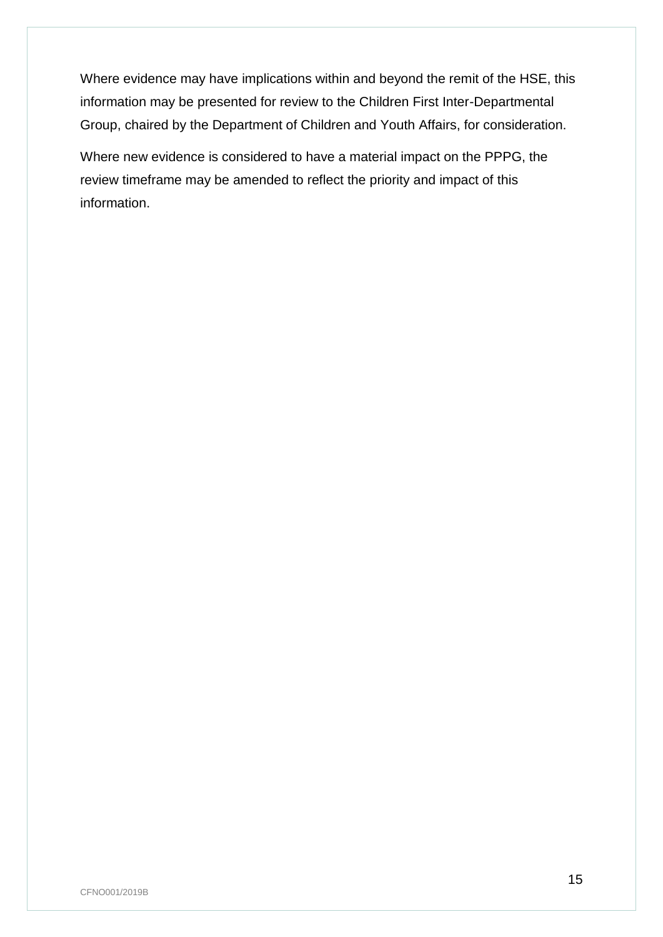Where evidence may have implications within and beyond the remit of the HSE, this information may be presented for review to the Children First Inter-Departmental Group, chaired by the Department of Children and Youth Affairs, for consideration.

Where new evidence is considered to have a material impact on the PPPG, the review timeframe may be amended to reflect the priority and impact of this information.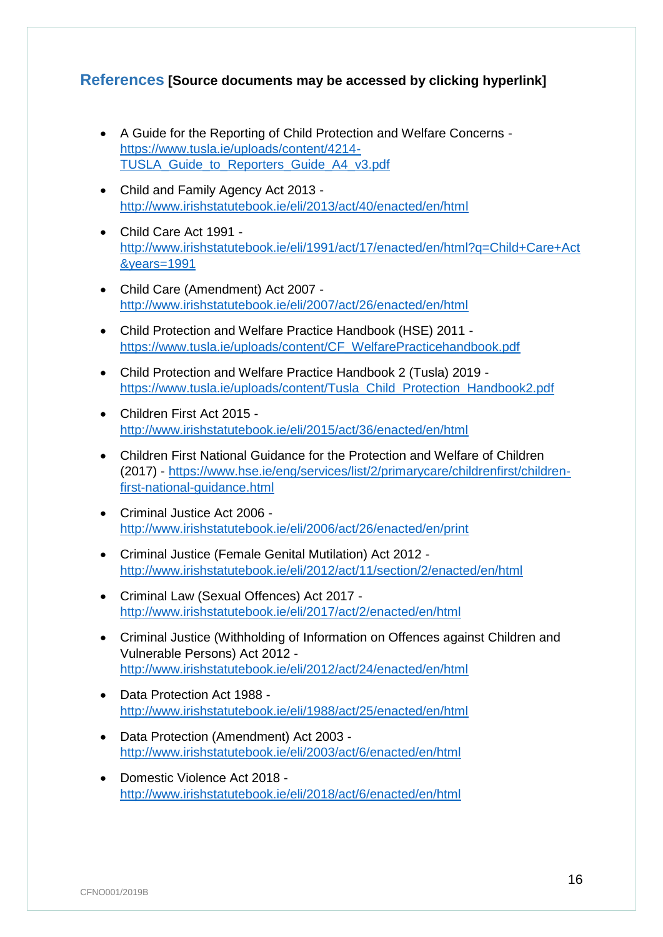## <span id="page-17-0"></span>**References [Source documents may be accessed by clicking hyperlink]**

- A Guide for the Reporting of Child Protection and Welfare Concerns [https://www.tusla.ie/uploads/content/4214-](https://www.tusla.ie/uploads/content/4214-TUSLA_Guide_to_Reporters_Guide_A4_v3.pdf) [TUSLA\\_Guide\\_to\\_Reporters\\_Guide\\_A4\\_v3.pdf](https://www.tusla.ie/uploads/content/4214-TUSLA_Guide_to_Reporters_Guide_A4_v3.pdf)
- Child and Family Agency Act 2013 <http://www.irishstatutebook.ie/eli/2013/act/40/enacted/en/html>
- Child Care Act 1991 [http://www.irishstatutebook.ie/eli/1991/act/17/enacted/en/html?q=Child+Care+Act](http://www.irishstatutebook.ie/eli/1991/act/17/enacted/en/html?q=Child+Care+Act&years=1991) [&years=1991](http://www.irishstatutebook.ie/eli/1991/act/17/enacted/en/html?q=Child+Care+Act&years=1991)
- Child Care (Amendment) Act 2007 <http://www.irishstatutebook.ie/eli/2007/act/26/enacted/en/html>
- Child Protection and Welfare Practice Handbook (HSE) 2011 [https://www.tusla.ie/uploads/content/CF\\_WelfarePracticehandbook.pdf](https://www.tusla.ie/uploads/content/CF_WelfarePracticehandbook.pdf)
- Child Protection and Welfare Practice Handbook 2 (Tusla) 2019 [https://www.tusla.ie/uploads/content/Tusla\\_Child\\_Protection\\_Handbook2.pdf](https://www.tusla.ie/uploads/content/Tusla_Child_Protection_Handbook2.pdf)
- Children First Act 2015 <http://www.irishstatutebook.ie/eli/2015/act/36/enacted/en/html>
- Children First National Guidance for the Protection and Welfare of Children (2017) - [https://www.hse.ie/eng/services/list/2/primarycare/childrenfirst/children](https://www.hse.ie/eng/services/list/2/primarycare/childrenfirst/children-first-national-guidance.html)[first-national-guidance.html](https://www.hse.ie/eng/services/list/2/primarycare/childrenfirst/children-first-national-guidance.html)
- Criminal Justice Act 2006 <http://www.irishstatutebook.ie/eli/2006/act/26/enacted/en/print>
- Criminal Justice (Female Genital Mutilation) Act 2012 <http://www.irishstatutebook.ie/eli/2012/act/11/section/2/enacted/en/html>
- Criminal Law (Sexual Offences) Act 2017 <http://www.irishstatutebook.ie/eli/2017/act/2/enacted/en/html>
- Criminal Justice (Withholding of Information on Offences against Children and Vulnerable Persons) Act 2012 <http://www.irishstatutebook.ie/eli/2012/act/24/enacted/en/html>
- Data Protection Act 1988 <http://www.irishstatutebook.ie/eli/1988/act/25/enacted/en/html>
- Data Protection (Amendment) Act 2003 <http://www.irishstatutebook.ie/eli/2003/act/6/enacted/en/html>
- Domestic Violence Act 2018 <http://www.irishstatutebook.ie/eli/2018/act/6/enacted/en/html>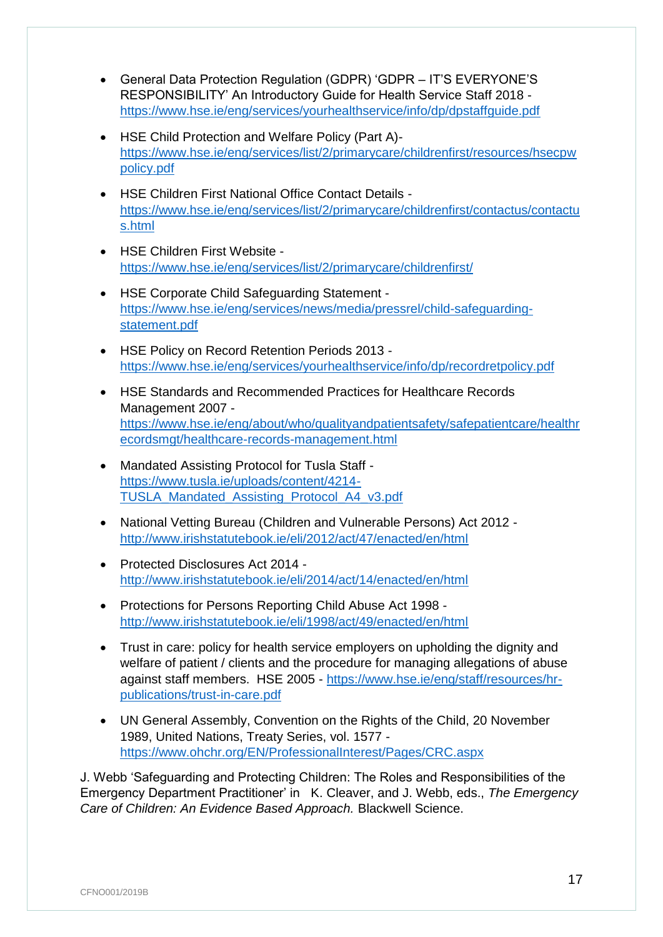- General Data Protection Regulation (GDPR) 'GDPR IT'S EVERYONE'S RESPONSIBILITY' An Introductory Guide for Health Service Staff 2018 <https://www.hse.ie/eng/services/yourhealthservice/info/dp/dpstaffguide.pdf>
- HSE Child Protection and Welfare Policy (Part A) [https://www.hse.ie/eng/services/list/2/primarycare/childrenfirst/resources/hsecpw](https://www.hse.ie/eng/services/list/2/primarycare/childrenfirst/resources/hsecpwpolicy.pdf) [policy.pdf](https://www.hse.ie/eng/services/list/2/primarycare/childrenfirst/resources/hsecpwpolicy.pdf)
- HSE Children First National Office Contact Details [https://www.hse.ie/eng/services/list/2/primarycare/childrenfirst/contactus/contactu](https://www.hse.ie/eng/services/list/2/primarycare/childrenfirst/contactus/contactus.html) [s.html](https://www.hse.ie/eng/services/list/2/primarycare/childrenfirst/contactus/contactus.html)
- HSE Children First Website <https://www.hse.ie/eng/services/list/2/primarycare/childrenfirst/>
- HSE Corporate Child Safeguarding Statement [https://www.hse.ie/eng/services/news/media/pressrel/child-safeguarding](https://www.hse.ie/eng/services/news/media/pressrel/child-safeguarding-statement.pdf)[statement.pdf](https://www.hse.ie/eng/services/news/media/pressrel/child-safeguarding-statement.pdf)
- HSE Policy on Record Retention Periods 2013 <https://www.hse.ie/eng/services/yourhealthservice/info/dp/recordretpolicy.pdf>
- HSE Standards and Recommended Practices for Healthcare Records Management 2007 [https://www.hse.ie/eng/about/who/qualityandpatientsafety/safepatientcare/healthr](https://www.hse.ie/eng/about/who/qualityandpatientsafety/safepatientcare/healthrecordsmgt/healthcare-records-management.html) [ecordsmgt/healthcare-records-management.html](https://www.hse.ie/eng/about/who/qualityandpatientsafety/safepatientcare/healthrecordsmgt/healthcare-records-management.html)
- Mandated Assisting Protocol for Tusla Staff [https://www.tusla.ie/uploads/content/4214-](https://www.tusla.ie/uploads/content/4214-TUSLA_Mandated_Assisting_Protocol_A4_v3.pdf) [TUSLA\\_Mandated\\_Assisting\\_Protocol\\_A4\\_v3.pdf](https://www.tusla.ie/uploads/content/4214-TUSLA_Mandated_Assisting_Protocol_A4_v3.pdf)
- National Vetting Bureau (Children and Vulnerable Persons) Act 2012 <http://www.irishstatutebook.ie/eli/2012/act/47/enacted/en/html>
- Protected Disclosures Act 2014 <http://www.irishstatutebook.ie/eli/2014/act/14/enacted/en/html>
- Protections for Persons Reporting Child Abuse Act 1998 <http://www.irishstatutebook.ie/eli/1998/act/49/enacted/en/html>
- Trust in care: policy for health service employers on upholding the dignity and welfare of patient / clients and the procedure for managing allegations of abuse against staff members. HSE 2005 - [https://www.hse.ie/eng/staff/resources/hr](https://www.hse.ie/eng/staff/resources/hr-publications/trust-in-care.pdf)[publications/trust-in-care.pdf](https://www.hse.ie/eng/staff/resources/hr-publications/trust-in-care.pdf)
- UN General Assembly, Convention on the Rights of the Child, 20 November 1989, United Nations, Treaty Series, vol. 1577 <https://www.ohchr.org/EN/ProfessionalInterest/Pages/CRC.aspx>

J. Webb 'Safeguarding and Protecting Children: The Roles and Responsibilities of the Emergency Department Practitioner' in K. Cleaver, and J. Webb, eds., *The Emergency Care of Children: An Evidence Based Approach.* Blackwell Science.